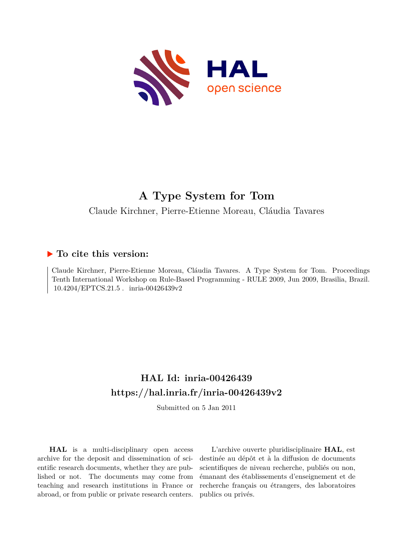

# **A Type System for Tom**

Claude Kirchner, Pierre-Etienne Moreau, Cláudia Tavares

# **To cite this version:**

Claude Kirchner, Pierre-Etienne Moreau, Cláudia Tavares. A Type System for Tom. Proceedings Tenth International Workshop on Rule-Based Programming - RULE 2009, Jun 2009, Brasilia, Brazil.  $10.4204/EPTCS.21.5$ . inria-00426439v2

# **HAL Id: inria-00426439 <https://hal.inria.fr/inria-00426439v2>**

Submitted on 5 Jan 2011

**HAL** is a multi-disciplinary open access archive for the deposit and dissemination of scientific research documents, whether they are published or not. The documents may come from teaching and research institutions in France or abroad, or from public or private research centers.

L'archive ouverte pluridisciplinaire **HAL**, est destinée au dépôt et à la diffusion de documents scientifiques de niveau recherche, publiés ou non, émanant des établissements d'enseignement et de recherche français ou étrangers, des laboratoires publics ou privés.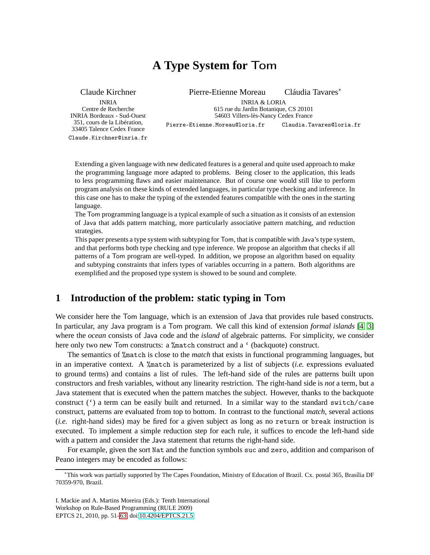# **A Type System for** Tom

Claude Kirchner

INRIA Centre de Recherche INRIA Bordeaux - Sud-Ouest 351, cours de la Libération, 33405 Talence Cedex France

Claude.Kirchner@inria.fr

Pierre-Etienne Moreau Cláudia Tavares<sup>∗</sup>

INRIA & LORIA 615 rue du Jardin Botanique, CS 20101 54603 Villers-lès-Nancy Cedex France

Pierre-Etienne.Moreau@loria.fr Claudia.Tavares@loria.fr

Extending a given language with new dedicated features is a general and quite used approach to make the programming language more adapted to problems. Being closer to the application, this leads to less programming flaws and easier maintenance. But of course one would still like to perform program analysis on these kinds of extended languages, in particular type checking and inference. In this case one has to make the typing of the extended features compatible with the ones in the starting language.

The Tom programming language is a typical example of such a situation as it consists of an extension of Java that adds pattern matching, more particularly associative pattern matching, and reduction strategies.

This paper presents a type system with subtyping for Tom, that is compatible with Java's type system, and that performs both type checking and type inference. We propose an algorithm that checks if all patterns of a Tom program are well-typed. In addition, we propose an algorithm based on equality and subtyping constraints that infers types of variables occurring in a pattern. Both algorithms are exemplified and the proposed type system is showed to be sound and complete.

## **1 Introduction of the problem: static typing in** Tom

We consider here the Tom language, which is an extension of Java that provides rule based constructs. In particular, any Java program is a Tom program. We call this kind of extension *formal islands* [\[4,](#page-13-1) [3\]](#page-13-2) where the *ocean* consists of Java code and the *island* of algebraic patterns. For simplicity, we consider here only two new Tom constructs: a %match construct and a ' (backquote) construct.

The semantics of %match is close to the *match* that exists in functional programming languages, but in an imperative context. A %match is parameterized by a list of subjects (*i.e.* expressions evaluated to ground terms) and contains a list of rules. The left-hand side of the rules are patterns built upon constructors and fresh variables, without any linearity restriction. The right-hand side is *not* a term, but a Java statement that is executed when the pattern matches the subject. However, thanks to the backquote construct  $(')$  a term can be easily built and returned. In a similar way to the standard switch/case construct, patterns are evaluated from top to bottom. In contrast to the functional *match*, several actions (*i.e.* right-hand sides) may be fired for a given subject as long as no return or break instruction is executed. To implement a simple reduction step for each rule, it suffices to encode the left-hand side with a pattern and consider the Java statement that returns the right-hand side.

For example, given the sort Nat and the function symbols suc and zero, addition and comparison of Peano integers may be encoded as follows:

I. Mackie and A. Martins Moreira (Eds.): Tenth International Workshop on Rule-Based Programming (RULE 2009) EPTCS 21, 2010, pp. 51[–63,](#page-13-0) doi[:10.4204/EPTCS.21.5](http://dx.doi.org/10.4204/EPTCS.21.5)

<sup>∗</sup>This work was partially supported by The Capes Foundation, Ministry of Education of Brazil. Cx. postal 365, Brasília DF 70359-970, Brazil.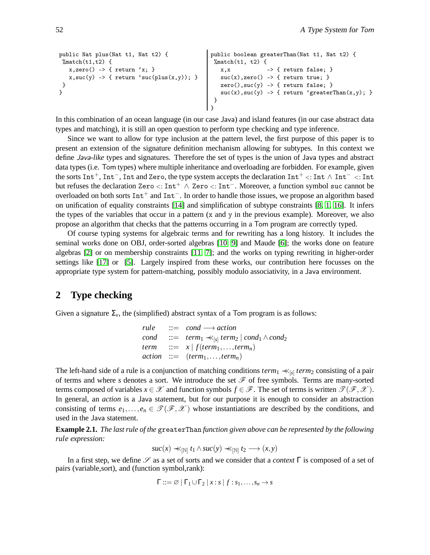```
public Nat plus(Nat t1, Nat t2) {
 \text{W}match(t1,t2) {
   x,zero() \rightarrow \{ return 'x; \}x, succ(y) \rightarrow \{ return 'succ(plus(x,y)); \}}
}
                                                    public boolean greaterThan(Nat t1, Nat t2) {
                                                      \text{W}match(t1, t2) {
                                                        x, x -> { return false; }
                                                       suc(x),zero() \rightarrow \{ return true; \}zero(),suc(y) -> { return false; }
                                                        suc(x),suc(y) \rightarrow \{ return 'greater Than(x,y); \}}
```
In this combination of an ocean language (in our case Java) and island features (in our case abstract data types and matching), it is still an open question to perform type checking and type inference.

}

Since we want to allow for type inclusion at the pattern level, the first purpose of this paper is to present an extension of the signature definition mechanism allowing for subtypes. In this context we define Java*-like* types and signatures. Therefore the set of types is the union of Java types and abstract data types (i.e. Tom types) where multiple inheritance and overloading are forbidden. For example, given the sorts Int<sup>+</sup>, Int<sup>-</sup>, Int and Zero, the type system accepts the declaration Int<sup>+</sup> <: Int ∧ Int<sup>-</sup> <: Int but refuses the declaration Zero  $\langle$ : Int<sup>+</sup>  $\land$  Zero  $\langle$ : Int<sup>-</sup>. Moreover, a function symbol suc cannot be overloaded on both sorts Int<sup>+</sup> and Int<sup>-</sup>. In order to handle those issues, we propose an algorithm based on unification of equality constraints [\[14\]](#page-13-3) and simplification of subtype constraints [\[8,](#page-13-4) [1,](#page-13-5) [16\]](#page-13-6). It infers the types of the variables that occur in a pattern (x and y in the previous example). Moreover, we also propose an algorithm that checks that the patterns occurring in a Tom program are correctly typed.

Of course typing systems for algebraic terms and for rewriting has a long history. It includes the seminal works done on OBJ, order-sorted algebras [\[10,](#page-13-7) [9\]](#page-13-8) and Maude [\[6\]](#page-13-9); the works done on feature algebras [\[2\]](#page-13-10) or on membership constraints [\[11,](#page-13-11) [7\]](#page-13-12); and the works on typing rewriting in higher-order settings like [\[17\]](#page-13-13) or [\[5\]](#page-13-14). Largely inspired from these works, our contribution here focusses on the appropriate type system for pattern-matching, possibly modulo associativity, in a Java environment.

### <span id="page-2-0"></span>**2 Type checking**

Given a signature  $\Sigma_{\nu}$ , the (simplified) abstract syntax of a Tom program is as follows:

 $rule \qquad ::= \qquad *cond* \longrightarrow action$  $\text{cond}$  ::=  $\text{term}_1 \prec \uparrow_{[s]} \text{term}_2 \mid \text{cond}_1 \wedge \text{cond}_2$  $\textit{term}$  ::=  $x \mid f(\textit{term}_1, \ldots, \textit{term}_n)$  $action ::= (term_1, \ldots, term_n)$ 

The left-hand side of a rule is a conjunction of matching conditions  $term_1 \nless_{[s]} term_2$  consisting of a pair of terms and where *s* denotes a sort. We introduce the set  $\mathcal F$  of free symbols. Terms are many-sorted terms composed of variables  $x \in \mathcal{X}$  and function symbols  $f \in \mathcal{F}$ . The set of terms is written  $\mathcal{T}(\mathcal{F},\mathcal{X})$ . In general, an *action* is a Java statement, but for our purpose it is enough to consider an abstraction consisting of terms  $e_1, \ldots, e_n \in \mathcal{T}(\mathcal{F}, \mathcal{X})$  whose instantiations are described by the conditions, and used in the Java statement.

**Example 2.1.** *The last rule of the* greaterThan *function given above can be represented by the following rule expression:*

 $suc(x) \nless_{[N]} t_1 \land suc(y) \nless_{[N]} t_2 \longrightarrow (x, y)$ 

In a first step, we define *S* as a set of sorts and we consider that a *context* Γ is composed of a set of pairs (variable,sort), and (function symbol,rank):

$$
\Gamma ::= \varnothing \mid \Gamma_1 \cup \Gamma_2 \mid x : s \mid f : s_1, \ldots, s_n \to s
$$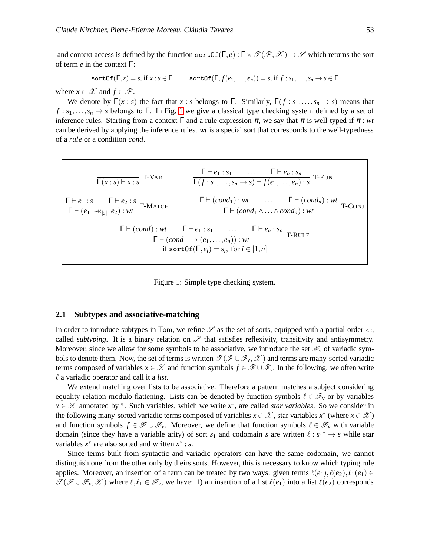and context access is defined by the function sortOf(Γ,*e*):  $\Gamma \times \mathcal{T}(\mathcal{F},\mathcal{X}) \to \mathcal{S}$  which returns the sort of term *e* in the context Γ:

 $sortOf(\Gamma, x) = s$ , if  $x : s \in \Gamma$  sortOf( $\Gamma, f(e_1, \ldots, e_n)$ ) = *s*, if  $f : s_1, \ldots, s_n \to s \in \Gamma$ 

where  $x \in \mathcal{X}$  and  $f \in \mathcal{F}$ .

We denote by  $\Gamma(x : s)$  the fact that  $x : s$  belongs to  $\Gamma$ . Similarly,  $\Gamma(f : s_1, \ldots, s_n \to s)$  means that  $f: s_1, \ldots, s_n \to s$  belongs to  $\Gamma$ . In Fig. [1](#page-3-0) we give a classical type checking system defined by a set of inference rules. Starting from a context  $\Gamma$  and a rule expression  $\pi$ , we say that  $\pi$  is well-typed if  $\pi$ : *wt* can be derived by applying the inference rules. *wt* is a special sort that corresponds to the well-typedness of a *rule* or a condition *cond*.

$$
\frac{\Gamma \vdash e_1 : s_1 \quad \cdots \quad \Gamma \vdash e_n : s_n}{\Gamma(x : s) \vdash x : s} \quad \frac{\Gamma \vdash e_1 : s_1 \quad \cdots \quad \Gamma \vdash e_n : s_n}{\Gamma(f : s_1, \ldots, s_n \to s) \vdash f(e_1, \ldots, e_n) : s} \quad \text{T-FUN}
$$
\n
$$
\frac{\Gamma \vdash e_1 : s \quad \Gamma \vdash e_2 : s}{\Gamma \vdash (e_1 \prec \langle s | s \rangle e_2) : wt} \quad \Gamma \vdash (cond_1) : wt \quad \cdots \quad \Gamma \vdash (cond_1 \land \ldots \land cond_n) : wt}{\Gamma \vdash (cond_1 \land \ldots \land cond_n) : wt} \quad \text{T-CONJ}
$$
\n
$$
\frac{\Gamma \vdash (cond) : wt \quad \Gamma \vdash e_1 : s_1 \quad \ldots \quad \Gamma \vdash e_n : s_n}{\Gamma \vdash (cond \rightarrow (e_1, \ldots, e_n)) : wt} \quad \text{T-RULE}
$$
\nif  $sort \text{Of}(\Gamma, e_i) = s_i$ , for  $i \in [1, n]$ 

<span id="page-3-0"></span>

#### <span id="page-3-1"></span>**2.1 Subtypes and associative-matching**

In order to introduce subtypes in Tom, we refine  $\mathscr S$  as the set of sorts, equipped with a partial order  $\lt:$ , called *subtyping*. It is a binary relation on  $\mathscr S$  that satisfies reflexivity, transitivity and antisymmetry. Moreover, since we allow for some symbols to be associative, we introduce the set  $\mathscr{F}_v$  of variadic symbols to denote them. Now, the set of terms is written  $\mathcal{T}(\mathcal{F}\cup\mathcal{F}_v,\mathcal{X})$  and terms are many-sorted variadic terms composed of variables  $x \in \mathcal{X}$  and function symbols  $f \in \mathcal{F} \cup \mathcal{F}_v$ . In the following, we often write  $\ell$  a variadic operator and call it a *list*.

We extend matching over lists to be associative. Therefore a pattern matches a subject considering equality relation modulo flattening. Lists can be denoted by function symbols  $\ell \in \mathcal{F}_v$  or by variables  $x \in \mathcal{X}$  annotated by \*. Such variables, which we write  $x^*$ , are called *star variables*. So we consider in the following many-sorted variadic terms composed of variables  $x \in \mathcal{X}$ , star variables  $x^*$  (where  $x \in \mathcal{X}$ ) and function symbols  $f \in \mathcal{F} \cup \mathcal{F}_v$ . Moreover, we define that function symbols  $\ell \in \mathcal{F}_v$  with variable domain (since they have a variable arity) of sort  $s_1$  and codomain *s* are written  $\ell : s_1^* \to s$  while star variables  $x^*$  are also sorted and written  $x^*$  : *s*.

Since terms built from syntactic and variadic operators can have the same codomain, we cannot distinguish one from the other only by theirs sorts. However, this is necessary to know which typing rule applies. Moreover, an insertion of a term can be treated by two ways: given terms  $\ell(e_1), \ell(e_2), \ell_1(e_1) \in$  $\mathcal{T}(\mathcal{F} \cup \mathcal{F}_v, \mathcal{X})$  where  $\ell, \ell_1 \in \mathcal{F}_v$ , we have: 1) an insertion of a list  $\ell(e_1)$  into a list  $\ell(e_2)$  corresponds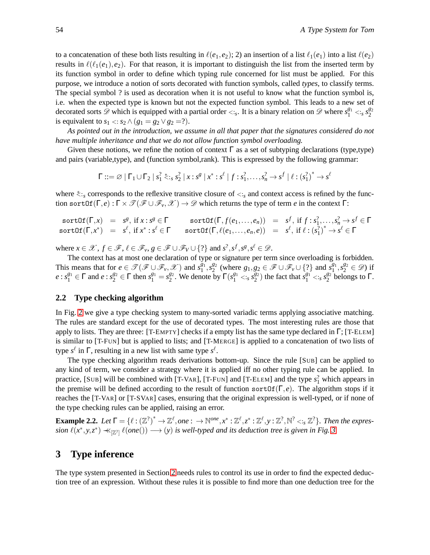to a concatenation of these both lists resulting in  $\ell(e_1,e_2)$ ; 2) an insertion of a list  $\ell_1(e_1)$  into a list  $\ell(e_2)$ results in  $\ell(\ell_1(e_1),e_2)$ . For that reason, it is important to distinguish the list from the inserted term by its function symbol in order to define which typing rule concerned for list must be applied. For this purpose, we introduce a notion of sorts decorated with function symbols, called *types*, to classify terms. The special symbol ? is used as decoration when it is not useful to know what the function symbol is, i.e. when the expected type is known but not the expected function symbol. This leads to a new set of decorated sorts  $\mathscr{D}$  which is equipped with a partial order <: *s*. It is a binary relation on  $\mathscr{D}$  where  $s_1^{g_1}$  <: *s*  $s_2^{g_2}$ is equivalent to  $s_1 < s_2 \wedge (g_1 = g_2 \vee g_2 = ?)$ .

*As pointed out in the introduction, we assume in all that paper that the signatures considered do not have multiple inheritance and that we do not allow function symbol overloading.*

Given these notions, we refine the notion of context  $\Gamma$  as a set of subtyping declarations (type,type) and pairs (variable,type), and (function symbol,rank). This is expressed by the following grammar:

 $\Gamma ::= \varnothing \; | \; \Gamma_1 \cup \Gamma_2 \; | \; s_1^2 \stackrel{*}{\asymp} \cdots s_2^2 \; | \; x : s^g \; | \; x^* : s^\ell \; | \; f : s_1^2, \ldots, s_n^2 \to s^f \; | \; \ell : {(s_1^2)}^* \to s^\ell$ 

where  $\zeta$ : s corresponds to the reflexive transitive closure of <: s and context access is refined by the function sortOf(Γ,*e*): Γ ×  $\mathcal{T}(\mathcal{F} \cup \mathcal{F}_v, \mathcal{X}) \to \mathcal{D}$  which returns the type of term *e* in the context Γ:

$$
sortOf(\Gamma, x) = s^g, \text{ if } x : s^g \in \Gamma \qquad sortOf(\Gamma, f(e_1, \ldots, e_n)) = s^f, \text{ if } f : s_1^2, \ldots, s_n^2 \to s^f \in \Gamma
$$
  
\n
$$
sortOf(\Gamma, x^*) = s^{\ell}, \text{ if } x^* : s^{\ell} \in \Gamma \qquad sortOf(\Gamma, \ell(e_1, \ldots, e_n, e)) = s^{\ell}, \text{ if } \ell : (s_1^2)^* \to s^{\ell} \in \Gamma
$$

where  $x \in \mathcal{X}$ ,  $f \in \mathcal{F}$ ,  $\ell \in \mathcal{F}_v$ ,  $g \in \mathcal{F} \cup \mathcal{F}_V \cup \{?\}$  and  $s^2, s^f, s^g, s^{\ell} \in \mathcal{D}$ .

The context has at most one declaration of type or signature per term since overloading is forbidden. This means that for  $e \in \mathcal{T}(\mathcal{F} \cup \mathcal{F}_v, \mathcal{X})$  and  $s_1^{g_1}$  $\frac{g_1}{1}, s_2^{g_2}$  $S_2^{g_2}$  (where  $g_1, g_2 \in \mathcal{F} \cup \mathcal{F}_v \cup \{?\}$  and  $s_1^{g_1}$  $s_1^{g_1}, s_2^{g_2} \in \mathscr{D}$  if  $e : s_1^{g_1} \in \Gamma$  and  $e : s_2^{g_2} \in \Gamma$  then  $s_1^{g_1} = s_2^{g_2}$  $\frac{g_2}{2}$ . We denote by  $\Gamma(s_1^{g_1} < s_1^{\overline{g_2}})$  $\binom{g_2}{2}$  the fact that  $s_1^{g_1} < :$   $s_2^{g_2}$  $^{82}_{2}$  belongs to  $\Gamma$ .

#### <span id="page-4-1"></span>**2.2 Type checking algorithm**

In Fig. [2](#page-5-0) we give a type checking system to many-sorted variadic terms applying associative matching. The rules are standard except for the use of decorated types. The most interesting rules are those that apply to lists. They are three:  $[T-EMENT]$  checks if a empty list has the same type declared in  $\Gamma$ ;  $[T-ELEM]$ is similar to [T-FUN] but is applied to lists; and [T-MERGE] is applied to a concatenation of two lists of type  $s^{\ell}$  in  $\Gamma$ , resulting in a new list with same type  $s^{\ell}$ .

The type checking algorithm reads derivations bottom-up. Since the rule [SUB] can be applied to any kind of term, we consider a strategy where it is applied iff no other typing rule can be applied. In practice, [SUB] will be combined with [T-VAR], [T-FUN] and [T-ELEM] and the type  $s_1^2$  which appears in the premise will be defined according to the result of function sortOf(Γ,*e*). The algorithm stops if it reaches the [T-VAR] or [T-SVAR] cases, ensuring that the original expression is well-typed, or if none of the type checking rules can be applied, raising an error.

<span id="page-4-0"></span>**Example 2.2.** Let  $\Gamma = \{ \ell : (\mathbb{Z}^2)^* \to \mathbb{Z}^\ell, one : \to \mathbb{N}^{one}, x^* : \mathbb{Z}^\ell, z^* : \mathbb{Z}^\ell, y : \mathbb{Z}^2, \mathbb{N}^2 <_i s \mathbb{Z}^2 \}$ . Then the expres $s$ *ion*  $\ell(x^*, y, z^*) \prec_{\lbrack \mathbb{Z}^2 \rbrack} \ell(one()) \longrightarrow (y)$  *is well-typed and its deduction tree is given in Fig.* [3](#page-6-0)

### **3 Type inference**

The type system presented in Section [2](#page-2-0) needs rules to control its use in order to find the expected deduction tree of an expression. Without these rules it is possible to find more than one deduction tree for the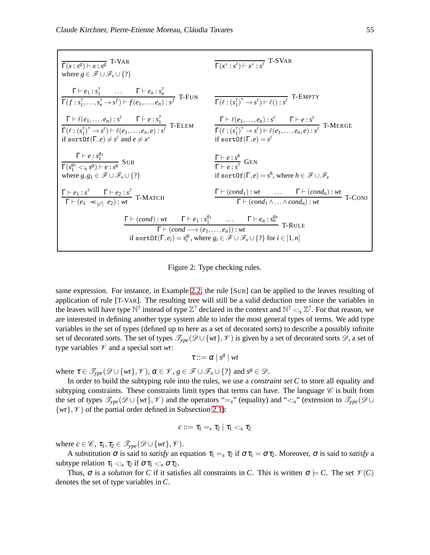$$
\frac{\Gamma(x:s^g) \vdash x:s^g \quad \text{T-VAR} \quad \overbrace{\Gamma(x^*:s^{\ell}) \vdash x^*:s^{\ell} \quad \text{T-SVAR}}{\Gamma(f:s_1^2,\ldots,s_n^2 \rightarrow s^{\ell}) \vdash f(e_1,\ldots,e_n):s^{\ell} \quad \text{T-FUN} \quad \overbrace{\Gamma(\ell:(s_1^2)^* \rightarrow s^{\ell}) \vdash \ell(:,s^{\ell}^2 \quad \text{T-EMPTY}}{\Gamma(\ell:(s_1^2)^* \rightarrow s^{\ell}) \vdash \ell(:,s^{\ell}) \rightarrow s^{\ell} \quad \text{T-ELEM}} \quad \frac{\Gamma \vdash \ell(e_1,\ldots,e_n):s^{\ell} \quad \Gamma \vdash e:s_1^2}{\Gamma(\ell:(s_1^2)^* \rightarrow s^{\ell}) \vdash \ell(e_1,\ldots,e_n,e):s^{\ell} \quad \text{T-ELEM}} \quad \frac{\Gamma \vdash \ell(e_1,\ldots,e_n):s^{\ell} \quad \Gamma \vdash e:s^{\ell} \quad \text{T-MERGE}}{\Gamma(\ell:(s_1^2)^* \rightarrow s^{\ell}) \vdash \ell(e_1,\ldots,e_n,e):s^{\ell} \quad \text{T-MERGE}} \quad \text{if } \text{sortOf}(\Gamma,e) = s^{\ell} \quad \text{T-MERGE} \quad \text{if } \text{sortOf}(\Gamma,e) = s^{\ell} \quad \text{T-MEEG} \quad \text{T-CE} \quad \text{T-CE} \quad \text{T-CE} \quad \text{T-CE} \quad \text{T-CE} \quad \text{T-CE} \quad \text{T-CE} \quad \text{T-CE} \quad \text{T-CE} \quad \text{T-CE} \quad \text{T-CE} \quad \text{T-CE} \quad \text{T-CE} \quad \text{T-CE} \quad \text{T-CE} \quad \text{T-CE} \quad \text{T-CE} \quad \text{T-CE} \quad \text{T-CE} \quad \text{T-CE} \quad \text{T-CE} \quad \text{T-CE} \quad \text{T-CE} \quad \text{T-CE} \quad \text{T-CE} \quad \text{T-CE} \quad \text{T-CE} \quad \text{T-CE} \quad \text{T-CE} \quad \text{T-CE} \quad \text{T-CE} \quad \text{T-CE} \quad \text{T-CE} \quad \text{T-CE} \quad \text{T-CE} \quad \text{T-CE} \quad \text{T-CE} \quad \text{T-CE} \quad \text{T-CE} \quad \text
$$

<span id="page-5-0"></span>Figure 2: Type checking rules.

same expression. For instance, in Example [2.2,](#page-4-0) the rule [SUB] can be applied to the leaves resulting of application of rule [T-VAR]. The resulting tree will still be a valid deduction tree since the variables in the leaves will have type  $\mathbb{N}^?$  instead of type  $\mathbb{Z}^?$  declared in the context and  $\mathbb{N}^? <_{s} \mathbb{Z}^?$ . For that reason, we are interested in defining another type system able to infer the most general types of terms. We add type variables in the set of types (defined up to here as a set of decorated sorts) to describe a possibly infinite set of decorated sorts. The set of types  $\mathcal{T}_{ype}(\mathcal{D} \cup \{wt\}, \mathcal{V})$  is given by a set of decorated sorts  $\mathcal{D}$ , a set of type variables  $\mathcal V$  and a special sort *wt*:

$$
\tau ::= \alpha \mid s^g \mid wt
$$

where  $\tau \in \mathcal{T}_{ype}(\mathcal{D} \cup \{wt\}, \mathcal{V}), \alpha \in \mathcal{V}, g \in \mathcal{F} \cup \mathcal{F}_v \cup \{?\}$  and  $s^g \in \mathcal{D}.$ 

In order to build the subtyping rule into the rules, we use a *constraint set C* to store all equality and subtyping constraints. These constraints limit types that terms can have. The language  $\mathscr C$  is built from the set of types  $\mathcal{T}_{ype}(\mathscr{D} \cup \{wt\}, \mathscr{V})$  and the operators "=<sub>s</sub>" (equality) and "<:<sub>s</sub>" (extension to  $\mathcal{T}_{ype}(\mathscr{D} \cup$  $\{wt\}, \mathscr{V}$  of the partial order defined in Subsection [2.1\)](#page-3-1):

$$
c ::= \tau_1 =_s \tau_2 \mid \tau_1 <_s \tau_2
$$

where  $c \in \mathscr{C}$ ,  $\tau_1, \tau_2 \in \mathscr{T}_{\mathsf{ype}}(\mathscr{D} \cup \{wt\}, \mathscr{V})$ .

A substitution  $\sigma$  is said to *satisfy* an equation  $\tau_1 =_s \tau_2$  if  $\sigma \tau_1 = \sigma \tau_2$ . Moreover,  $\sigma$  is said to *satisfy* a subtype relation  $\tau_1 \ll_s \tau_2$  if  $\sigma \tau_1 \ll_s \sigma \tau_2$ .

Thus,  $\sigma$  is a *solution* for *C* if it satisfies all constraints in *C*. This is written  $\sigma \models C$ . The set  $\mathcal{V}(C)$ denotes the set of type variables in *C*.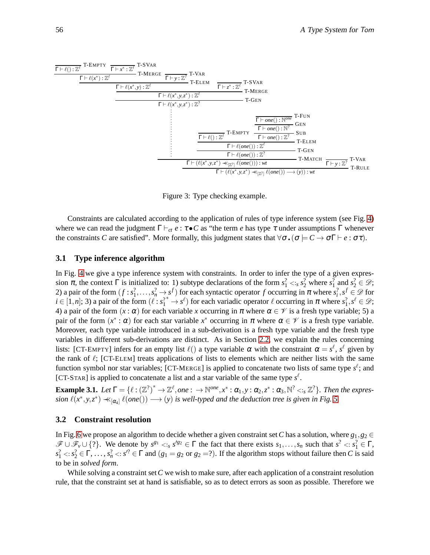

<span id="page-6-0"></span>Figure 3: Type checking example.

Constraints are calculated according to the application of rules of type inference system (see Fig. [4\)](#page-7-0) where we can read the judgment  $\Gamma \vdash_{ct} e : \tau \bullet C$  as "the term *e* has type  $\tau$  under assumptions  $\Gamma$  whenever the constraints *C* are satisfied". More formally, this judgment states that  $\forall \sigma \cdot (\sigma \models C \rightarrow \sigma \Gamma \vdash e : \sigma \tau)$ .

#### **3.1 Type inference algorithm**

In Fig. [4](#page-7-0) we give a type inference system with constraints. In order to infer the type of a given expression  $\pi$ , the context  $\Gamma$  is initialized to: 1) subtype declarations of the form  $s_1^2 < s s_2^2$  where  $s_1^2$  and  $s_2^2 \in \mathcal{D}$ ; 2) a pair of the form  $(f : s_1^2, \ldots, s_n^2 \to s^f)$  for each syntactic operator *f* occurring in  $\pi$  where  $s_i^2, s^f \in \mathcal{D}$  for  $i \in [1, n]$ ; 3) a pair of the form  $(\ell : s_1^{i*} \to s^{\ell})$  for each variadic operator  $\ell$  occurring in  $\pi$  where  $s_1^2, s^{\ell} \in \mathcal{D}$ ; 4) a pair of the form  $(x : \alpha)$  for each variable *x* occurring in  $\pi$  where  $\alpha \in \mathcal{V}$  is a fresh type variable; 5) a pair of the form  $(x^* : \alpha)$  for each star variable  $x^*$  occurring in  $\pi$  where  $\alpha \in \mathcal{V}$  is a fresh type variable. Moreover, each type variable introduced in a sub-derivation is a fresh type variable and the fresh type variables in different sub-derivations are distinct. As in Section [2.2,](#page-4-1) we explain the rules concerning lists: [CT-EMPTY] infers for an empty list  $\ell()$  a type variable  $\alpha$  with the constraint  $\alpha = s^{\ell}$ ,  $s^{\ell}$  given by the rank of  $\ell$ ; [CT-ELEM] treats applications of lists to elements which are neither lists with the same function symbol nor star variables; [CT-MERGE] is applied to concatenate two lists of same type  $s^{\ell}$ ; and [CT-STAR] is applied to concatenate a list and a star variable of the same type  $s^{\ell}$ .

<span id="page-6-1"></span>**Example 3.1.** Let  $\Gamma = \{ \ell : (\mathbb{Z}^?)^* \to \mathbb{Z}^\ell, one : \to \mathbb{N}^{one}, x^* : \alpha_1, y : \alpha_2, z^* : \alpha_3, \mathbb{N}^? < \mathbb{Z}^? \}$ . Then the expres $s$ *ion*  $\ell(x^*, y, z^*) \prec_{[\alpha_4]} \ell(one()) \longrightarrow (y)$  *is well-typed and the deduction tree is given in Fig.* [5.](#page-8-0)

#### **3.2 Constraint resolution**

In Fig. [6](#page-8-1) we propose an algorithm to decide whether a given constraint set C has a solution, where  $g_1, g_2 \in$  $\mathscr{F} \cup \mathscr{F}_v \cup \{?\}.$  We denote by  $s^{g_1} \leq s^{g_2} \in \Gamma$  the fact that there exists  $s_1, \ldots, s_n$  such that  $s^2 \leq s_1^2 \in \Gamma$ ,  $s_1^2 \lt s_2^2 \in \Gamma, \ldots, s_n^2 \lt s'^2 \in \Gamma$  and  $(g_1 = g_2 \text{ or } g_2 = ?$ ). If the algorithm stops without failure then *C* is said to be in *solved form*.

While solving a constraint set*C* we wish to make sure, after each application of a constraint resolution rule, that the constraint set at hand is satisfiable, so as to detect errors as soon as possible. Therefore we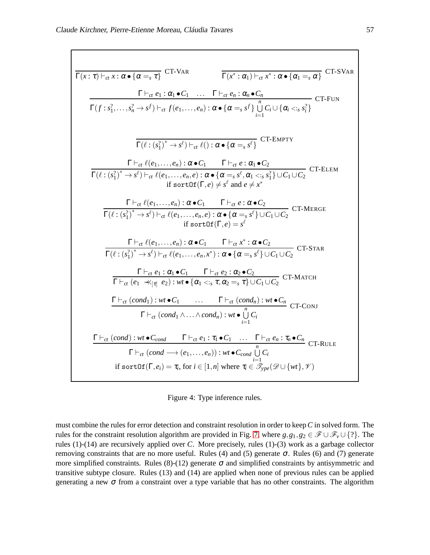$$
\frac{\Gamma(x:\tau)\vdash_{\alpha} x:\alpha\bullet{\alpha=s,\tau}^{\top} \text{ CT-VAR}}{\Gamma(f:s_{1}^{2},...,s_{n}^{2}\rightarrow s^{0})\vdash_{\alpha} f(e_{1},...,e_{n}): \alpha\bullet{\alpha=s,\sigma}\cdot{\alpha_{n}\bullet\alpha_{n}}^{\top} \text{ CT-SVAR}}
$$
\n
$$
\frac{\Gamma\vdash_{\alpha} e_{1}:\alpha_{1}\bullet C_{1}...\Gamma\vdash_{\alpha} e_{n}:\alpha_{n}\bullet C_{n}}{\Gamma(f:s_{1}^{2},...,s_{n}^{2}\rightarrow s^{0})\vdash_{\alpha} f(e_{1},...,e_{n}): \alpha\bullet{\alpha=s,\sigma}\cdot{\alpha_{n}\dagger}_{i=1}^{n} \text{ CT-ENTY}}
$$
\n
$$
\frac{\Gamma\vdash_{\alpha} \ell(e_{1},...,e_{n}): \alpha\bullet C_{1}...\Gamma\vdash_{\alpha} e:\alpha_{1}\bullet C_{2}}{\Gamma(\ell:(s_{1}^{2})^{*}\rightarrow s^{6})\vdash_{\alpha} \ell(e_{1},...,e_{n},e):\alpha\bullet{\alpha=s,\sigma}\cdot{\alpha_{1}\bullet\alpha_{2}}^{\top} \text{ CT-EMENT}}
$$
\n
$$
\frac{\Gamma\vdash_{\alpha} \ell(e_{1},...,e_{n}): \alpha\bullet C_{1}...\Gamma\vdash_{\alpha} e:\alpha_{1}\bullet C_{2}}{\Gamma(f:(s_{1}^{2})^{*}\rightarrow s^{6})\vdash_{\alpha} \ell(e_{1},...,e_{n},e):\alpha\bullet{\alpha=s,\sigma}\cdot{\alpha_{1}\bullet\alpha_{3}}^{\top} \text{UC}_{1}\cup C_{2}} \text{ CT-BLEM}
$$
\n
$$
\frac{\Gamma\vdash_{\alpha} \ell(e_{1},...,e_{n}): \alpha\bullet C_{1}...\Gamma\vdash_{\alpha} e:\alpha\bullet C_{2}}{\Gamma(\ell:(s_{1}^{2})^{*}\rightarrow s^{6})\vdash_{\alpha} \ell(e_{1},...,e_{n},e):\alpha\bullet{\alpha=s,\sigma}\cdot{\alpha_{1}\cup C_{1}\cup C_{2}}^{\top} \text{ CT-MERGE}}
$$
\n
$$
\frac{\Gamma\vdash_{\alpha} \ell(e_{1},...,e_{n}): \alpha\bullet C_{1}...\Gamma\vdash_{\alpha} x^{*}: \alpha\bullet C_{2}}{\Gamma(\ell:(s_{1}^{2})^{*}\rightarrow s^{6})\vdash_{\alpha} \ell(e_{1},...,e_{n},x^{*}): \alpha\bullet{\alpha=s,\sigma}\cdot{\alpha_{1
$$

<span id="page-7-0"></span>Figure 4: Type inference rules.

must combine the rules for error detection and constraint resolution in order to keep*C* in solved form. The rules for the constraint resolution algorithm are provided in Fig. [7,](#page-9-0) where  $g, g_1, g_2 \in \mathcal{F} \cup \mathcal{F}_v \cup \{? \}$ . The rules (1)-(14) are recursively applied over *C*. More precisely, rules (1)-(3) work as a garbage collector removing constraints that are no more useful. Rules (4) and (5) generate  $\sigma$ . Rules (6) and (7) generate more simplified constraints. Rules (8)-(12) generate  $\sigma$  and simplified constraints by antisymmetric and transitive subtype closure. Rules (13) and (14) are applied when none of previous rules can be applied generating a new  $\sigma$  from a constraint over a type variable that has no other constraints. The algorithm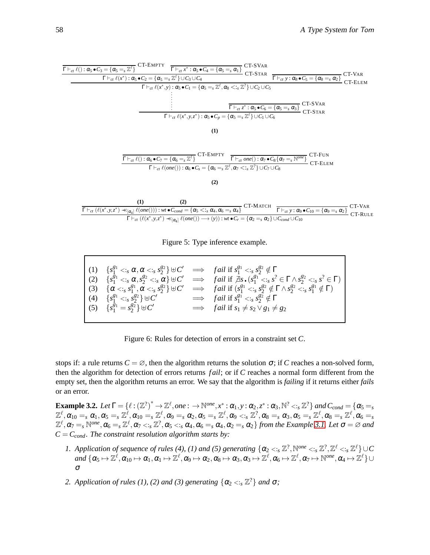

<span id="page-8-0"></span>Figure 5: Type inference example.

| $(1)$ $\{s_1^{g_1} < s \alpha, \alpha < s \} s_2^{g_2} \} \oplus C' \implies \text{fail if } s_1^{g_1} < s \} s_2^{g_2} \notin \Gamma$ |                                                                                                                                                                                                                                 |
|----------------------------------------------------------------------------------------------------------------------------------------|---------------------------------------------------------------------------------------------------------------------------------------------------------------------------------------------------------------------------------|
|                                                                                                                                        | $(2)$ $\{s_1^{g_1} \leq s \alpha, s_2^{g_2} \leq s \alpha\} \cup C' \implies$ fail if $\exists s \cdot (s_1^{g_1} \leq s \cdot s^2 \in \Gamma \wedge s_2^{g_2} \leq s \cdot s^2 \in \Gamma)$                                    |
|                                                                                                                                        | $\left( \begin{array}{cc} (3) & \{\alpha <_s s_1^{g_1}, \alpha <_s s_2^{g_2}\} \oplus C' & \implies & \text{fail if } (s_1^{g_1} <_s s_2^{g_2} \notin \Gamma \wedge s_2^{g_2} <_s s_1^{g_1} \notin \Gamma) \end{array} \right)$ |
| (4) $\{s_1^{g_1} \lt_{s} s_2^{g_2}\} \cup C'$                                                                                          | $\implies$ fail if $s_1^{g_1} \lt_{s} s_2^{g_2} \notin \Gamma$                                                                                                                                                                  |
| $(5)$ $\{s_1^{g_1} = s_2^{g_2}\} \uplus C'$                                                                                            | $\implies$ fail if $s_1 \neq s_2 \vee g_1 \neq g_2$                                                                                                                                                                             |
|                                                                                                                                        |                                                                                                                                                                                                                                 |

<span id="page-8-1"></span>Figure 6: Rules for detection of errors in a constraint set *C*.

stops if: a rule returns  $C = \emptyset$ , then the algorithm returns the solution  $\sigma$ ; if *C* reaches a non-solved form, then the algorithm for detection of errors returns *f ail*; or if *C* reaches a normal form different from the empty set, then the algorithm returns an error. We say that the algorithm is *failing* if it returns either *fails* or an error.

**Example 3.2.** Let  $\Gamma = \{ \ell : (\mathbb{Z}^?)^* \to \mathbb{Z}^\ell, one : \to \mathbb{N}^{one}, x^* : \alpha_1, y : \alpha_2, z^* : \alpha_3, \mathbb{N}^? < : s \mathbb{Z}^? \}$  and  $C_{cond} = \{ \alpha_5 = s \}$  $\mathbb{Z}^\ell, \alpha_{10} =_s \alpha_1, \alpha_5 =_s \mathbb{Z}^\ell, \alpha_{10} =_s \mathbb{Z}^\ell, \alpha_9 =_s \alpha_2, \alpha_5 =_s \mathbb{Z}^\ell, \alpha_9 <_s \mathbb{Z}^?\ \alpha_8 =_s \alpha_3, \alpha_5 =_s \mathbb{Z}^\ell, \alpha_8 =_s \mathbb{Z}^\ell, \alpha_6 =_s \mathbb{Z}^\ell, \alpha_7 =_s \mathbb{Z}^\ell, \alpha_8 =_s \mathbb{Z}^\ell, \alpha_9 =_s \mathbb{Z}^\ell, \alpha_9 =_s \mathbb{Z$  $\mathbb{Z}^{\ell}, \alpha_7 =$ <sub>s</sub>  $\mathbb{N}^{one}, \alpha_6 =$ <sub>s</sub>  $\mathbb{Z}^{\ell}, \alpha_7 <$ <sub>is</sub>  $\mathbb{Z}^?$ ,  $\alpha_5 <$ <sub>is</sub>  $\alpha_4$ ,  $\alpha_6 =$ <sub>s</sub>  $\alpha_4$ ,  $\alpha_2 =$ <sub>s</sub>  $\alpha_2$ } from the Example [3.1.](#page-6-1) Let  $\sigma = \varnothing$  and  $C = C_{cond}$ . The constraint resolution algorithm starts by:

- 1. Application of sequence of rules (4), (1) and (5) generating  $\{\alpha_2 \leq S \leq \mathbb{Z}^2, \mathbb{N}^{one} \leq S \leq \mathbb{Z}^2, \mathbb{Z}^{\ell} \leq S \leq \mathbb{Z}^{\ell}\}\cup C$  $and\ \{\boldsymbol{\alpha_5}\mapsto\mathbb{Z}^{\ell},\boldsymbol{\alpha_{10}}\mapsto\boldsymbol{\alpha_1},\boldsymbol{\alpha_1}\mapsto\mathbb{Z}^{\ell},\boldsymbol{\alpha_9}\mapsto\boldsymbol{\alpha_2},\boldsymbol{\alpha_8}\mapsto\boldsymbol{\alpha_3},\boldsymbol{\alpha_3}\mapsto\mathbb{Z}^{\ell},\boldsymbol{\alpha_6}\mapsto\mathbb{Z}^{\ell},\boldsymbol{\alpha_7}\mapsto\mathbb{N}^{one},\boldsymbol{\alpha_4}\mapsto\mathbb{Z}^{\ell}\}\cup$ σ
- 2. Application of rules (1), (2) and (3) generating  $\{\alpha_2 \lt_{:s} \mathbb{Z}^2\}$  and  $\sigma$ ;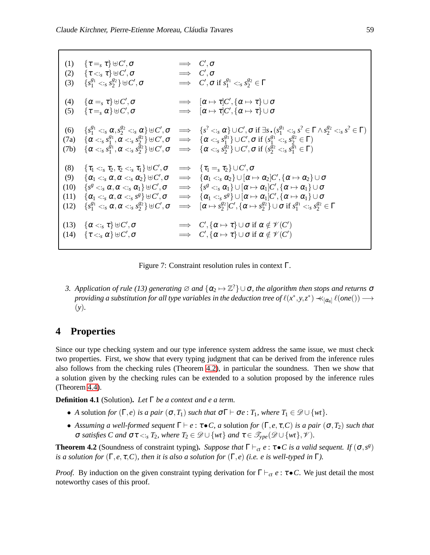```
(1) \quad \{\tau =_{s} \tau\} \uplus C', \sigma \qquad \qquad \Longrightarrow \quad C', \sigma(2) \{τ <_s τ\} ⊕ C', σ ⇒ C', σ(3) {s_1^g} \leq s_2^{g_2} \oplus C', \sigma \implies C', \sigma \text{ if } s_1^{g_1} \leq s_2^{g_2} \in \Gamma(4) \{\alpha =_{s} \tau\} \uplus C', \sigma \implies [\alpha \mapsto \tau]C', \{\alpha \mapsto \tau\} \cup \sigma(5) \{\tau =_{s} \alpha\} \uplus C', \sigma \implies [\alpha \mapsto \tau]C', \{\alpha \mapsto \tau\} \cup \sigma(6) \{s_1^{g_1} < s \colon \alpha, s_2^{g_2} < s \colon \alpha\} \cup C', \sigma \implies \{s^2 < s \colon \alpha\} \cup C', \sigma \text{ if } \exists s \cdot (s_1^{g_1} < s \cdot s^2 \in \Gamma \wedge s_2^{g_2} < s \cdot s^2 \in \Gamma)(7a) \{\alpha \leq s s_1^{g_1}\}\frac{g_1}{1}, \tilde{\boldsymbol{\alpha}} <:_{s} s_2^{g_2}\{ \alpha < \alpha \} \S^{2} } \forall U', \sigma \implies \{\alpha < \alpha \}\{g_1^{g_1}\}\cup C', \sigma \text{ if }(s_1^{g_1} <_s s_2^{g_2} \in \Gamma)(7b) \{\alpha \leq s s_1^{\frac{1}{g_1}}\}\frac{\tilde{g}_1}{1}, \alpha <:_{s} \tilde{s}_2^{\tilde{g}_2}\{ \begin{array}{ccc} \bar{g}_2 \ \bar{g}_2 \end{array} \} \uplus C', \sigma \quad \Longrightarrow \quad \{ \alpha <_{s} s_2^{\bar{g}_2} \}\{ \frac{g_2}{2} \} \cup C', \sigma \text{ if } (s_2^{\cancel{g}_2} <_{s} s_1^{\cancel{g}_1} \in \Gamma)(8) \quad \{\tau_1 <_{s} \tau_2, \tau_2 <_{s} \tau_1\} \uplus C', \sigma \quad \Longrightarrow \quad \{\tau_1 =_{s} \tau_2\} \cup C', \sigma(9) \quad \{\alpha_{1} <_{s} \alpha, \alpha <_{s} \alpha_{2}\} \cup C', \sigma \quad \Longrightarrow \quad \{\alpha_{1} <_{s} \alpha_{2}\} \cup [\alpha \mapsto \alpha_{2}]C', \{\alpha \mapsto \alpha_{2}\} \cup \sigma(10) \quad \left\{ s^g <:_{s} \alpha, \alpha <:_{s} \alpha_1 \right\} \uplus C', \sigma \quad \implies \quad \left\{ s^g <:_{s} \alpha_1 \right\} \cup \left[ \alpha \mapsto \alpha_1 \right] \hspace{-1mm} C', \left\{ \alpha \mapsto \alpha_1 \right\} \cup \sigma(11) \quad \{ \alpha_1 <_s \alpha, \alpha <_s s^g \} \uplus C', \sigma \quad \implies \quad \{ \alpha_1 <_s s^g \} \cup [\alpha \mapsto \alpha_1] C', \{ \alpha \mapsto \alpha_1 \} \cup \sigma(12) \{s_1^{g_1} < s \alpha, \alpha < s \ s_2^{g_2}\} \oplus C', \sigma \implies [\alpha \mapsto s_2^{g_2}]C', \{\alpha \mapsto s_2^{g_2}\} \cup \sigma \text{ if } s_1^{g_1} < s_2^{g_2} \in \Gamma(13) \{\alpha \leq_{s} \tau\} \cup C', \sigma \implies C', \{\alpha \mapsto \tau\} \cup \sigma \text{ if } \alpha \notin \mathscr{V}(C')(14) \{\tau \lt_{\cdot s} \alpha\} \uplus C', \sigma \implies C', \{\alpha \mapsto \tau\} \cup \sigma \text{ if } \alpha \notin \mathscr{V}(C')
```
<span id="page-9-0"></span>Figure 7: Constraint resolution rules in context Γ.

*3. Application of rule (13) generating*  $\varnothing$  *and*  $\{\alpha_2 \mapsto \mathbb{Z}^2\}$   $\cup$   $\sigma$ , the algorithm then stops and returns  $\sigma$  $p$ roviding a substitution for all type variables in the deduction tree of  $\ell(x^*,y,z^*)\prec\!\!\prec_{[\alpha_4]}\ell(one())\longrightarrow$ (*y*)*.*

### **4 Properties**

Since our type checking system and our type inference system address the same issue, we must check two properties. First, we show that every typing judgment that can be derived from the inference rules also follows from the checking rules (Theorem [4.2\)](#page-9-1), in particular the soundness. Then we show that a solution given by the checking rules can be extended to a solution proposed by the inference rules (Theorem [4.4\)](#page-10-0).

**Definition 4.1** (Solution)**.** *Let* Γ *be a context and e a term.*

- *A* solution *for*  $(\Gamma, e)$  *is a pair*  $(\sigma, T_1)$  *such that*  $\sigma \Gamma \vdash \sigma e : T_1$ *, where*  $T_1 \in \mathcal{D} \cup \{wt\}$ *.*
- *Assuming a well-formed sequent*  $\Gamma \vdash e : \tau \bullet C$ , *a* solution *for*  $(\Gamma, e, \tau, C)$  *is a pair*  $(\sigma, T_2)$  *such that σ satisfies C and*  $στ < \cdot$ *s*<sub>*s*</sub>  $T_2$ *, where*  $T_2 ∈ \mathscr{D} ∪ \{wt\}$ *and*  $τ ∈ \mathscr{T}_{\text{vpe}}(\mathscr{D} ∪ \{wt\}, \mathscr{V})$ *.*

<span id="page-9-1"></span>**Theorem 4.2** (Soundness of constraint typing). *Suppose that*  $\Gamma \vdash_{ct} e : \tau \bullet C$  *is a valid sequent.* If  $(\sigma, s^g)$ *is a solution for*  $(\Gamma, e, \tau, C)$ *, then it is also a solution for*  $(\Gamma, e)$  *(i.e. e is well-typed in*  $\Gamma$ *).* 

*Proof.* By induction on the given constraint typing derivation for  $\Gamma \vdash_{ct} e : \tau \bullet C$ . We just detail the most noteworthy cases of this proof.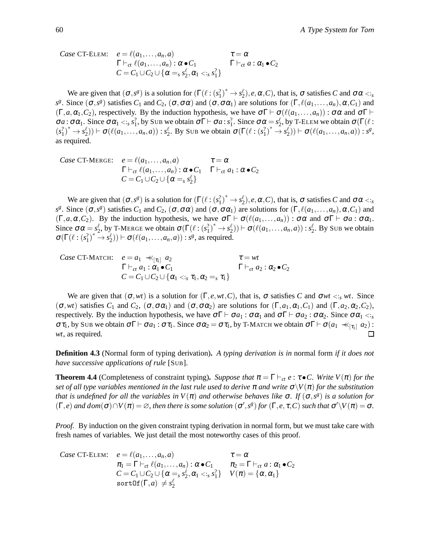Case CT-ELEM: 
$$
e = \ell(a_1,...,a_n, a)
$$
  $\tau = \alpha$   
\n $\Gamma \vdash_{ct} \ell(a_1,...,a_n) : \alpha \bullet C_1$   $\Gamma \vdash_{ct} a : \alpha_1 \bullet C_2$   
\n $C = C_1 \cup C_2 \cup \{\alpha =_s s_2^{\ell}, \alpha_1 <_s s_1^2\}$ 

We are given that  $(\sigma, s^g)$  is a solution for  $(\Gamma(\ell : (s_1^2)^* \to s_2^{\ell}), e, \alpha, C)$ , that is,  $\sigma$  satisfies *C* and  $\sigma \alpha \lt_{s}$ *s*<sup>g</sup>. Since  $(σ, s<sup>g</sup>)$  satisfies *C*<sub>1</sub> and *C*<sub>2</sub>,  $(σ, σα)$  and  $(σ, σα<sub>1</sub>)$  are solutions for  $(Γ, ℓ(a<sub>1</sub>,..., a<sub>n</sub>), α, C<sub>1</sub>)$  and  $(\Gamma, a, \alpha_1, C_2)$ , respectively. By the induction hypothesis, we have  $\sigma \Gamma \vdash \sigma(\ell(a_1, \ldots, a_n)) : \sigma \alpha$  and  $\sigma \Gamma \vdash$  $\sigma a$ :  $\sigma \alpha_1$ . Since  $\sigma \alpha_1 \lt_{s} s_1^2$ , by Sub we obtain  $\sigma \Gamma \vdash \sigma a$ :  $s_1^2$ . Since  $\sigma \alpha = s_2^{\ell}$ , by T-ELEM we obtain  $\sigma(\Gamma(\ell))$ :  $(s_1^2)^* \to s_2^{\ell}$ )  $\vdash \sigma(\ell(a_1, \ldots, a_n, a)) : s_2^{\ell}$ . By Sub we obtain  $\sigma(\Gamma(\ell : (s_1^2)^* \to s_2^{\ell})) \vdash \sigma(\ell(a_1, \ldots, a_n, a)) : s^{\ell}$ , as required.

Case CT-Merge: 
$$
e = \ell(a_1,...,a_n,a)
$$
  $\tau = \alpha$   
\n $\Gamma \vdash_{ct} \ell(a_1,...,a_n) : \alpha \bullet C_1 \quad \Gamma \vdash_{ct} a_1 : \alpha \bullet C_2$   
\n $C = C_1 \cup C_2 \cup \{\alpha =_s s_2^{\ell}\}$ 

We are given that  $(\sigma, s^g)$  is a solution for  $(\Gamma(\ell : (s_1^2)^* \to s_2^{\ell}), e, \alpha, C)$ , that is,  $\sigma$  satisfies *C* and  $\sigma \alpha \lt_{s}$ *s*<sup>*g*</sup>. Since  $(σ, s<sup>g</sup>)$  satisfies *C*<sub>1</sub> and *C*<sub>2</sub>,  $(σ, σα)$  and  $(σ, σα<sub>1</sub>)$  are solutions for  $(Γ, ℓ(a<sub>1</sub>,..., a<sub>n</sub>), α, C<sub>1</sub>)$  and  $(\Gamma, a, \alpha, C_2)$ . By the induction hypothesis, we have  $\sigma \Gamma \vdash \sigma(\ell(a_1, \ldots, a_n)) : \sigma \alpha$  and  $\sigma \Gamma \vdash \sigma a : \sigma \alpha_1$ . Since  $\sigma \alpha = s_2^{\ell}$ , by T-MERGE we obtain  $\sigma(\Gamma(\ell:(s_1^2)^* \to s_2^{\ell})) \vdash \sigma(\ell(a_1,...,a_n,a)) : s_2^{\ell}$ . By Sub we obtain  $\sigma(\Gamma(\ell:(s_1^2)^* \to s_2^{\ell})) \vdash \sigma(\ell(a_1,\ldots,a_n,a)) : s^{\ell}, \text{ as required.}$ 

Case CT-MATCH: 
$$
e = a_1 \prec_{[\tau_1]} a_2 \qquad \tau = wt
$$
  
\n $\Gamma \vdash_{ct} a_1 : \alpha_1 \bullet C_1 \qquad \Gamma \vdash_{ct} a_2 : \alpha_2 \bullet C_2$   
\n $C = C_1 \cup C_2 \cup \{\alpha_1 < \tau_1, \alpha_2 = s \tau_1\}$ 

We are given that  $(\sigma, wt)$  is a solution for  $(\Gamma, e, wt, C)$ , that is,  $\sigma$  satisfies *C* and  $\sigma wt < s$ , wt. Since  $(\sigma, wt)$  satisfies  $C_1$  and  $C_2$ ,  $(\sigma, \sigma\alpha_1)$  and  $(\sigma, \sigma\alpha_2)$  are solutions for  $(\Gamma, a_1, \alpha_1, C_1)$  and  $(\Gamma, a_2, \alpha_2, C_2)$ , respectively. By the induction hypothesis, we have  $\sigma \Gamma \vdash \sigma a_1 : \sigma \alpha_1$  and  $\sigma \Gamma \vdash \sigma a_2 : \sigma \alpha_2$ . Since  $\sigma \alpha_1 \langle s \rangle$ στ<sub>1</sub>, by Sub we obtain σΓ  $\vdash$  σ $a_1$  : στ<sub>1</sub>. Since σα<sub>2</sub> = στ<sub>1</sub>, by T-MATCH we obtain σΓ  $\vdash$  σ( $a_1 \prec_{\lceil \tau_1 \rceil} a_2$ ) : *wt*, as required. П

**Definition 4.3** (Normal form of typing derivation)**.** *A typing derivation is in* normal form *if it does not have successive applications of rule* [SUB]*.*

<span id="page-10-0"></span>**Theorem 4.4** (Completeness of constraint typing). *Suppose that*  $\pi = \Gamma \vdash_{ct} e : \tau \bullet C$ . Write  $V(\pi)$  for the *set of all type variables mentioned in the last rule used to derive*  $\pi$  *and write*  $\sigma \setminus V(\pi)$  *for the substitution that is undefined for all the variables in*  $V(\pi)$  *and otherwise behaves like*  $\sigma$ . If  $(\sigma, s^g)$  *is a solution for*  $(\Gamma, e)$  *and dom* $(\sigma) \cap V(\pi) = \varnothing$ , then there is some solution  $(\sigma', s^g)$  for  $(\Gamma, e, \tau, C)$  such that  $\sigma' \setminus V(\pi) = \sigma$ .

*Proof.* By induction on the given constraint typing derivation in normal form, but we must take care with fresh names of variables. We just detail the most noteworthy cases of this proof.

Case CT-ELEM: 
$$
e = \ell(a_1, ..., a_n, a)
$$
  $\tau = \alpha$   
\n $\pi_1 = \Gamma \vdash_{ct} \ell(a_1, ..., a_n) : \alpha \bullet C_1$   $\pi_2 = \Gamma \vdash_{ct} a : \alpha_1 \bullet C_2$   
\n $C = C_1 \cup C_2 \cup \{\alpha = s_2^{\ell}, \alpha_1 < s_3^2\} \quad V(\pi) = \{\alpha, \alpha_1\}$   
\nsortOf $(\Gamma, a) \neq s_2^{\ell}$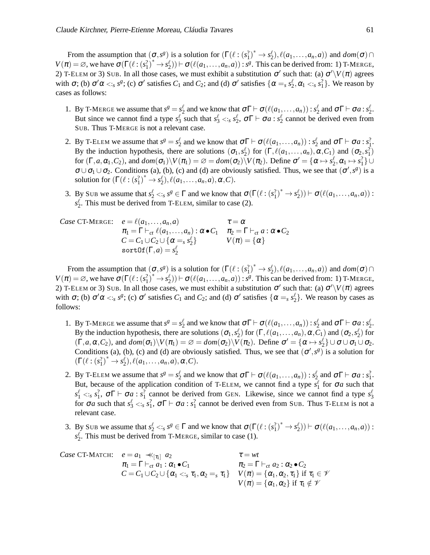From the assumption that  $(\sigma, s^g)$  is a solution for  $(\Gamma(\ell : (s_1^2)^* \to s_2^{\ell}), \ell(a_1, \ldots, a_n, a))$  and  $dom(\sigma) \cap$  $V(\pi) = \emptyset$ , we have  $\sigma(\Gamma(\ell:(s_1^2)^* \to s_2^{\ell})) \vdash \sigma(\ell(a_1,\ldots,a_n,a)) : s^{\ell}$ . This can be derived from: 1) T-MERGE, 2) T-ELEM or 3) SUB. In all those cases, we must exhibit a substitution  $\sigma'$  such that: (a)  $\sigma'\V(\pi)$  agrees with  $\sigma$ ; (b)  $\sigma' \alpha \lt_{s} s^g$ ; (c)  $\sigma'$  satisfies  $C_1$  and  $C_2$ ; and (d)  $\sigma'$  satisfies  $\{\alpha =_s s^g_2, \alpha_1 \lt_{s} s^2_1\}$ . We reason by cases as follows:

- 1. By T-MERGE we assume that  $s^g = s^{\ell}_2$  and we know that  $\sigma \Gamma \vdash \sigma(\ell(a_1, \ldots, a_n)) : s^{\ell}_2$  and  $\sigma \Gamma \vdash \sigma a : s^{\ell}_2$ . But since we cannot find a type  $s_3^{\ell}$  such that  $s_3^{\ell} \lt_{s} s_2^{\ell}$ ,  $\sigma \Gamma \vdash \sigma a : s_2^{\ell}$  cannot be derived even from SUB. Thus T-MERGE is not a relevant case.
- 2. By T-ELEM we assume that  $s^g = s_2^{\ell}$  and we know that  $\sigma \Gamma \vdash \sigma(\ell(a_1,...,a_n)) : s_2^{\ell}$  and  $\sigma \Gamma \vdash \sigma a : s_1^2$ . By the induction hypothesis, there are solutions  $(\sigma_1, s_2^{\ell})$  for  $(\Gamma, \ell(a_1, \ldots, a_n), \alpha, C_1)$  and  $(\sigma_2, s_1^2)$ for  $(\Gamma, a, \alpha_1, C_2)$ , and  $dom(\sigma_1) \setminus V(\pi_1) = \emptyset = dom(\sigma_2) \setminus V(\pi_2)$ . Define  $\sigma' = {\alpha \mapsto s_2^{\ell}, \alpha_1 \mapsto s_1^2}$  $\sigma \cup \sigma_1 \cup \sigma_2$ . Conditions (a), (b), (c) and (d) are obviously satisfied. Thus, we see that  $(\sigma', s^g)$  is a solution for  $(\Gamma(\ell:(s_1^2)^* \to s_2^{\ell}), \ell(a_1, \ldots, a_n, a), \alpha, C)$ .
- 3. By Sub we assume that  $s_2^{\ell} \leq s s^{\ell} \in \Gamma$  and we know that  $\sigma(\Gamma(\ell:(s_1^2)^* \to s_2^{\ell})) \vdash \sigma(\ell(a_1, \ldots, a_n, a))$ :  $s_2^{\ell}$ . This must be derived from T-ELEM, similar to case (2).

Case CT-Merge: 
$$
e = \ell(a_1, ..., a_n, a)
$$
  $\tau = \alpha$   
\n $\pi_1 = \Gamma \vdash_{ct} \ell(a_1, ..., a_n) : \alpha \bullet C_1$   $\pi_2 = \Gamma \vdash_{ct} a : \alpha \bullet C_2$   
\n $C = C_1 \cup C_2 \cup \{\alpha = s \, s_2^{\ell}\}$   $V(\pi) = \{\alpha\}$   
\nsortOf  $(\Gamma, a) = s_2^{\ell}$ 

From the assumption that  $(\sigma, s^g)$  is a solution for  $(\Gamma(\ell : (s_1^2)^* \to s_2^{\ell}), \ell(a_1, \ldots, a_n, a))$  and  $dom(\sigma) \cap$  $V(\pi) = \emptyset$ , we have  $\sigma(\Gamma(\ell:(s_1^2)^* \to s_2^{\ell})) \vdash \sigma(\ell(a_1,\ldots,a_n,a)) : s^{\ell}$ . This can be derived from: 1) T-MERGE, 2) T-ELEM or 3) SUB. In all those cases, we must exhibit a substitution  $\sigma'$  such that: (a)  $\sigma' \setminus V(\pi)$  agrees with  $\sigma$ ; (b)  $\sigma' \alpha \lt_{s} s^g$ ; (c)  $\sigma'$  satisfies  $C_1$  and  $C_2$ ; and (d)  $\sigma'$  satisfies  $\{\alpha =_s s_2^{\ell}\}\$ . We reason by cases as follows:

- 1. By T-MERGE we assume that  $s^g = s_2^{\ell}$  and we know that  $\sigma \Gamma \vdash \sigma(\ell(a_1, \ldots, a_n)) : s_2^{\ell}$  and  $\sigma \Gamma \vdash \sigma a : s_2^{\ell}$ . By the induction hypothesis, there are solutions  $(\sigma_1, s_2^{\ell})$  for  $(\Gamma, \ell(a_1, \ldots, a_n), \alpha, C_1)$  and  $(\sigma_2, s_2^{\ell})$  for  $(\Gamma, a, \alpha, C_2)$ , and  $dom(\sigma_1)\setminus V(\pi_1) = \emptyset = dom(\sigma_2)\setminus V(\pi_2)$ . Define  $\sigma' = {\alpha \mapsto s_2^{\ell} \cup \sigma \cup \sigma_1 \cup \sigma_2}$ . Conditions (a), (b), (c) and (d) are obviously satisfied. Thus, we see that  $(\sigma', s^g)$  is a solution for  $(\Gamma(\ell:(s_1^2)^* \to s_2^{\ell}), \ell(a_1, \ldots, a_n, a), \alpha, C).$
- 2. By T-ELEM we assume that  $s^g = s_2^{\ell}$  and we know that  $\sigma \Gamma \vdash \sigma(\ell(a_1,...,a_n)) : s_2^{\ell}$  and  $\sigma \Gamma \vdash \sigma a : s_1^2$ . But, because of the application condition of T-ELEM, we cannot find a type  $s_1^{\ell}$  for  $\sigma a$  such that  $s_1^{\ell} \lt_{s} s_1^2$ ,  $\sigma \Gamma \vdash \sigma a : s_1^2$  cannot be derived from GEN. Likewise, since we cannot find a type  $s_3^{\ell}$ for  $\sigma a$  such that  $s_3^{\ell} < s$ ;  $s_1^2$ ,  $\sigma \Gamma \vdash \sigma a$ :  $s_1^2$  cannot be derived even from SUB. Thus T-ELEM is not a relevant case.
- 3. By Sub we assume that  $s_2^{\ell} \leq s s^{\ell} \in \Gamma$  and we know that  $\sigma(\Gamma(\ell:(s_1^2)^* \to s_2^{\ell})) \vdash \sigma(\ell(a_1, \ldots, a_n, a))$ : *s* ℓ 2 . This must be derived from T-MERGE, similar to case (1).

Case CT-MATCH: 
$$
e = a_1 \llbr>\pi_1 = \Gamma \vdash_{ct} a_1 : \alpha_1 \bullet C_1
$$
  
\n $\pi_2 = \Gamma \vdash_{ct} a_2 : \alpha_2 \bullet C_2$   
\n $C = C_1 \cup C_2 \cup \{\alpha_1 < \vdots \ \tau_1, \alpha_2 = \tau_1\}$   
\n $V(\pi) = \{\alpha_1, \alpha_2, \tau_1\} \text{ if } \tau_1 \in \mathcal{V}$   
\n $V(\pi) = \{\alpha_1, \alpha_2\} \text{ if } \tau_1 \notin \mathcal{V}$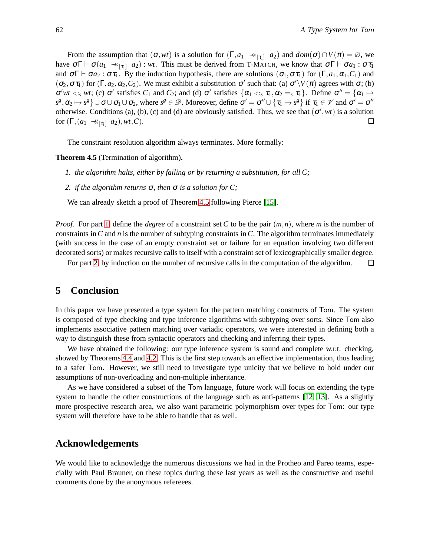From the assumption that  $(\sigma, wt)$  is a solution for  $(\Gamma, a_1 \prec \preceq_{[\tau_1]} a_2)$  and  $dom(\sigma) \cap V(\pi) = \emptyset$ , we have  $σΓ ⊢ σ(a<sub>1</sub> ∗<sub>[τ<sub>1</sub>]<sup>2</sup> a<sub>2</sub>) : wt</sub>$ . This must be derived from T-MATCH, we know that  $σΓ ⊢ σa<sub>1</sub> : στ<sub>1</sub>$ and  $\sigma \Gamma \vdash \sigma a_2 : \sigma \tau_1$ . By the induction hypothesis, there are solutions  $(\sigma_1, \sigma \tau_1)$  for  $(\Gamma, a_1, \alpha_1, C_1)$  and  $(\sigma_2, \sigma \tau_1)$  for  $(\Gamma, a_2, \alpha_2, C_2)$ . We must exhibit a substitution  $\sigma'$  such that: (a)  $\sigma' \setminus V(\pi)$  agrees with  $\sigma$ ; (b)  $\sigma'wt <_{s} wt$ ; (c)  $\sigma'$  satisfies  $C_1$  and  $C_2$ ; and (d)  $\sigma'$  satisfies  $\{\alpha_1 <_{s} \tau_1, \alpha_2 =_s \tau_1\}$ . Define  $\sigma'' = \{\alpha_1 \mapsto \alpha_2 = \alpha_2\}$  $s^g, \alpha_2 \mapsto s^g$   $\cup$   $\sigma \cup \sigma_1 \cup \sigma_2$ , where  $s^g \in \mathscr{D}$ . Moreover, define  $\sigma' = \sigma'' \cup \{\tau_1 \mapsto s^g\}$  if  $\tau_1 \in \mathscr{V}$  and  $\sigma' = \sigma''$ otherwise. Conditions (a), (b), (c) and (d) are obviously satisfied. Thus, we see that  $(\sigma', wt)$  is a solution for  $(\Gamma,(a_1 \ll_{[\tau_1]} a_2), wt, C)$ .  $\Box$ 

<span id="page-12-0"></span>The constraint resolution algorithm always terminates. More formally:

<span id="page-12-1"></span>**Theorem 4.5** (Termination of algorithm)**.**

- <span id="page-12-2"></span>*1. the algorithm halts, either by failing or by returning a substitution, for all C;*
- *2. if the algorithm returns* <sup>σ</sup>*, then* <sup>σ</sup> *is a solution for C;*

We can already sketch a proof of Theorem [4.5](#page-12-0) following Pierce [\[15\]](#page-13-15).

*Proof.* For part [1,](#page-12-1) define the *degree* of a constraint set *C* to be the pair (*m*,*n*), where *m* is the number of constraints in*C* and *n* is the number of subtyping constraints in *C*. The algorithm terminates immediately (with success in the case of an empty constraint set or failure for an equation involving two different decorated sorts) or makes recursive calls to itself with a constraint set of lexicographically smaller degree.

For part [2,](#page-12-2) by induction on the number of recursive calls in the computation of the algorithm.  $\Box$ 

## **5 Conclusion**

In this paper we have presented a type system for the pattern matching constructs of Tom. The system is composed of type checking and type inference algorithms with subtyping over sorts. Since Tom also implements associative pattern matching over variadic operators, we were interested in defining both a way to distinguish these from syntactic operators and checking and inferring their types.

We have obtained the following: our type inference system is sound and complete w.r.t. checking, showed by Theorems [4.4](#page-10-0) and [4.2.](#page-9-1) This is the first step towards an effective implementation, thus leading to a safer Tom. However, we still need to investigate type unicity that we believe to hold under our assumptions of non-overloading and non-multiple inheritance.

As we have considered a subset of the Tom language, future work will focus on extending the type system to handle the other constructions of the language such as anti-patterns [\[12,](#page-13-16) [13\]](#page-13-17). As a slightly more prospective research area, we also want parametric polymorphism over types for Tom: our type system will therefore have to be able to handle that as well.

### **Acknowledgements**

We would like to acknowledge the numerous discussions we had in the Protheo and Pareo teams, especially with Paul Brauner, on these topics during these last years as well as the constructive and useful comments done by the anonymous refereees.